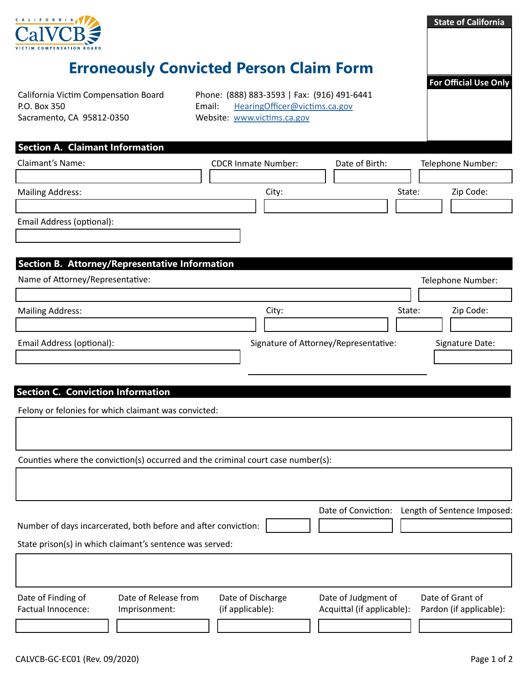

## **Erroneously Convicted Person Claim Form**

California Victim Compensation Board P.O. Box 350 Sacramento, CA 95812-0350

Phone: (888) 883-3593 | Fax: (916) 491-6441 Email: [HearingOfficer@victims.ca.gov](mailto:HearingOfficer%40victims.ca.gov?subject=) Website: [www.victims.ca.gov](https://www.victims.ca.gov)

**Section A. Claimant Information**

| <b>Claimant's Name:</b>   | <b>CDCR Inmate Number:</b> | Date of Birth: | Telephone Number:   |
|---------------------------|----------------------------|----------------|---------------------|
|                           |                            |                |                     |
| <b>Mailing Address:</b>   | City:                      |                | State:<br>Zip Code: |
|                           |                            |                |                     |
| Email Address (optional): |                            |                |                     |
|                           |                            |                |                     |
|                           |                            |                |                     |

## **Section B. Attorney/Representative Information**

| Name of Attorney/Representative: |                                       |        | Telephone Number: |  |
|----------------------------------|---------------------------------------|--------|-------------------|--|
|                                  |                                       |        |                   |  |
| <b>Mailing Address:</b>          | City:                                 | State: | Zip Code:         |  |
|                                  |                                       |        |                   |  |
| Email Address (optional):        | Signature of Attorney/Representative: |        | Signature Date:   |  |
|                                  |                                       |        |                   |  |

#### **Section C. Conviction Information**

Felony or felonies for which claimant was convicted:

Counties where the conviction(s) occurred and the criminal court case number(s):

|                                                          | Number of days incarcerated, both before and after conviction: |                   | Date of Conviction:        | Length of Sentence Imposed: |  |  |  |
|----------------------------------------------------------|----------------------------------------------------------------|-------------------|----------------------------|-----------------------------|--|--|--|
| State prison(s) in which claimant's sentence was served: |                                                                |                   |                            |                             |  |  |  |
|                                                          |                                                                |                   |                            |                             |  |  |  |
| Date of Finding of                                       | Date of Release from                                           | Date of Discharge | Date of Judgment of        | Date of Grant of            |  |  |  |
| Factual Innocence:                                       | Imprisonment:                                                  | (if applicable):  | Acquittal (if applicable): | Pardon (if applicable):     |  |  |  |
|                                                          |                                                                |                   |                            |                             |  |  |  |

**State of California**

**For Official Use Only**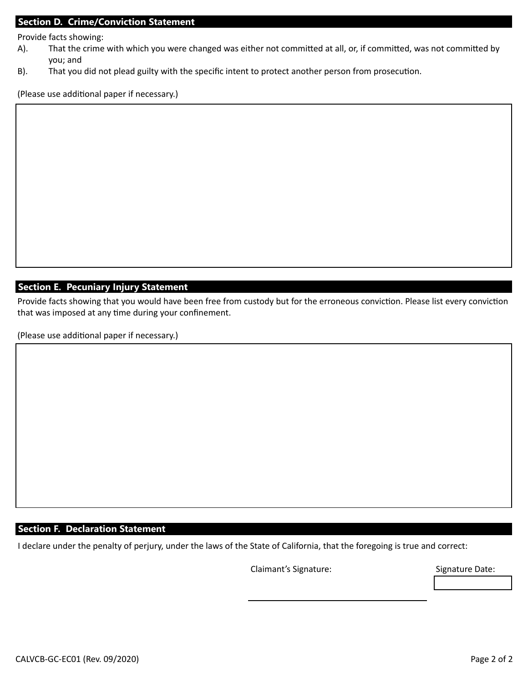#### **Section D. Crime/Conviction Statement**

Provide facts showing:

- A). That the crime with which you were changed was either not committed at all, or, if committed, was not committed by you; and
- B). That you did not plead guilty with the specific intent to protect another person from prosecution.

(Please use additional paper if necessary.)

### **Section E. Pecuniary Injury Statement**

Provide facts showing that you would have been free from custody but for the erroneous conviction. Please list every conviction that was imposed at any time during your confinement.

(Please use additional paper if necessary.)

### **Section F. Declaration Statement**

I declare under the penalty of perjury, under the laws of the State of California, that the foregoing is true and correct:

Claimant's Signature: Signature Date: